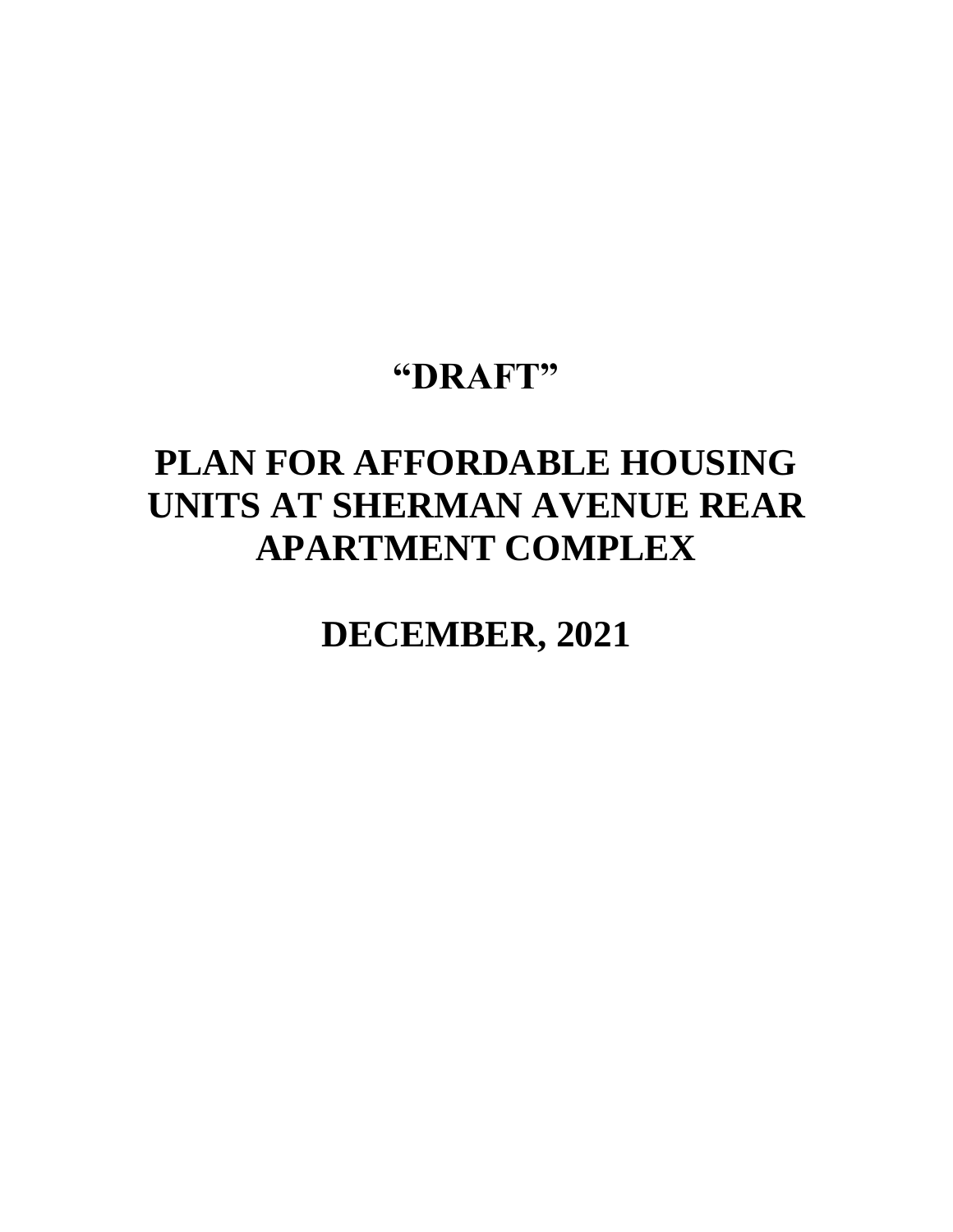## **"DRAFT"**

# **PLAN FOR AFFORDABLE HOUSING UNITS AT SHERMAN AVENUE REAR APARTMENT COMPLEX**

**DECEMBER, 2021**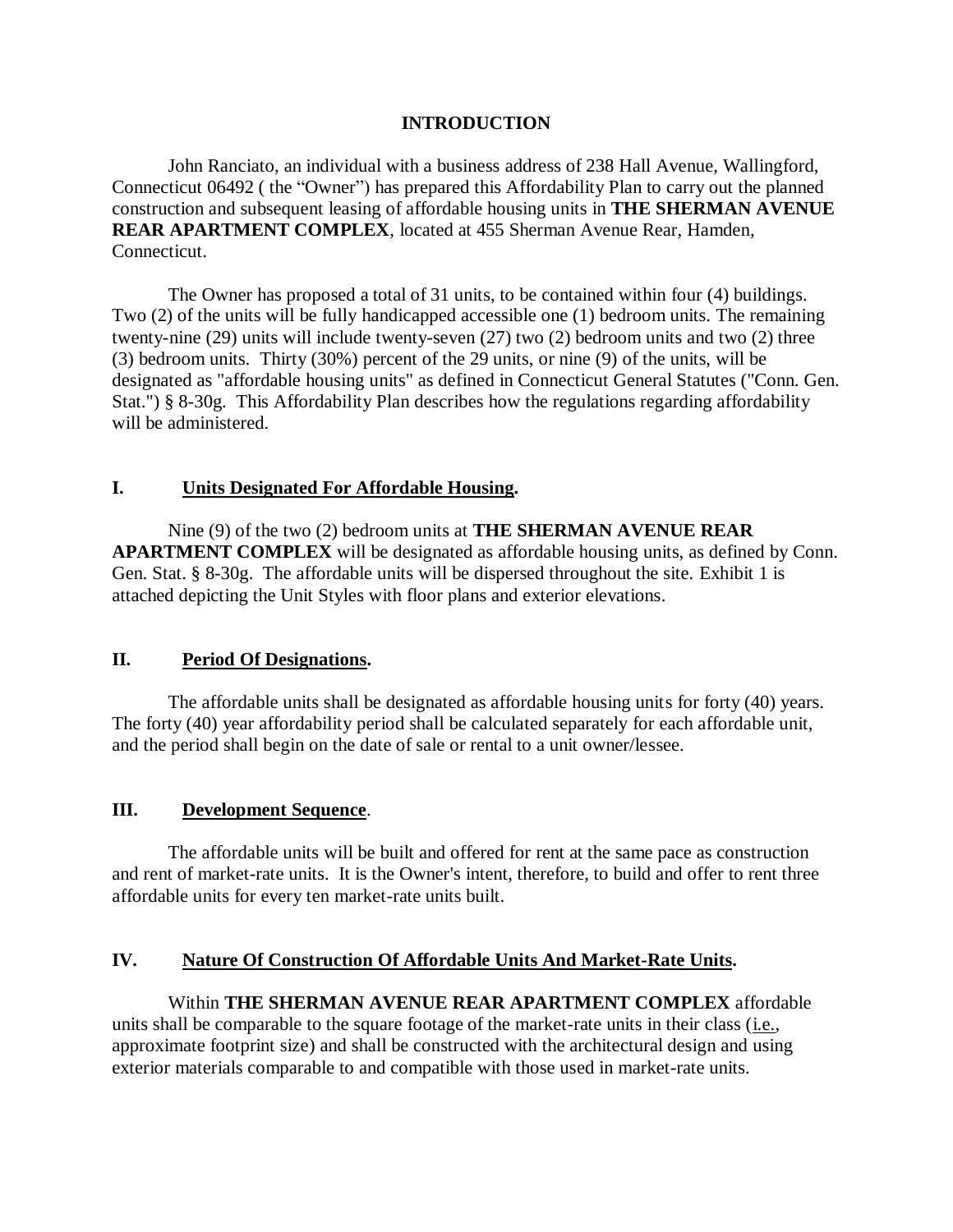#### **INTRODUCTION**

John Ranciato, an individual with a business address of 238 Hall Avenue, Wallingford, Connecticut 06492 ( the "Owner") has prepared this Affordability Plan to carry out the planned construction and subsequent leasing of affordable housing units in **THE SHERMAN AVENUE REAR APARTMENT COMPLEX**, located at 455 Sherman Avenue Rear, Hamden, Connecticut.

The Owner has proposed a total of 31 units, to be contained within four (4) buildings. Two (2) of the units will be fully handicapped accessible one (1) bedroom units. The remaining twenty-nine (29) units will include twenty-seven (27) two (2) bedroom units and two (2) three (3) bedroom units. Thirty (30%) percent of the 29 units, or nine (9) of the units, will be designated as "affordable housing units" as defined in Connecticut General Statutes ("Conn. Gen. Stat.") § 8-30g. This Affordability Plan describes how the regulations regarding affordability will be administered.

#### **I. Units Designated For Affordable Housing.**

Nine (9) of the two (2) bedroom units at **THE SHERMAN AVENUE REAR APARTMENT COMPLEX** will be designated as affordable housing units, as defined by Conn. Gen. Stat. § 8-30g. The affordable units will be dispersed throughout the site. Exhibit 1 is attached depicting the Unit Styles with floor plans and exterior elevations.

#### **II. Period Of Designations.**

The affordable units shall be designated as affordable housing units for forty (40) years. The forty (40) year affordability period shall be calculated separately for each affordable unit, and the period shall begin on the date of sale or rental to a unit owner/lessee.

#### **III. Development Sequence**.

The affordable units will be built and offered for rent at the same pace as construction and rent of market-rate units. It is the Owner's intent, therefore, to build and offer to rent three affordable units for every ten market-rate units built.

#### **IV. Nature Of Construction Of Affordable Units And Market-Rate Units.**

Within **THE SHERMAN AVENUE REAR APARTMENT COMPLEX** affordable units shall be comparable to the square footage of the market-rate units in their class (i.e., approximate footprint size) and shall be constructed with the architectural design and using exterior materials comparable to and compatible with those used in market-rate units.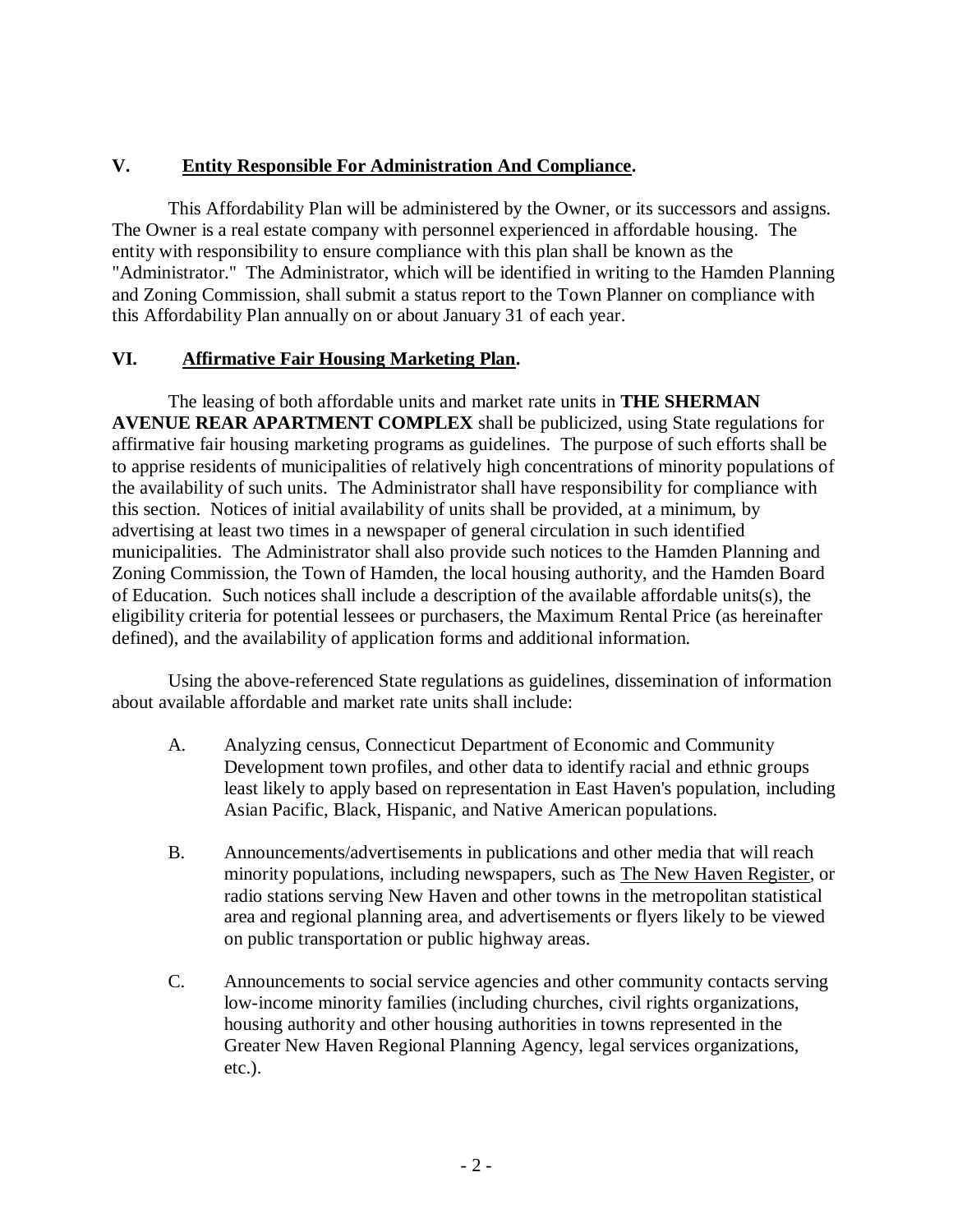## **V. Entity Responsible For Administration And Compliance.**

This Affordability Plan will be administered by the Owner, or its successors and assigns. The Owner is a real estate company with personnel experienced in affordable housing. The entity with responsibility to ensure compliance with this plan shall be known as the "Administrator." The Administrator, which will be identified in writing to the Hamden Planning and Zoning Commission, shall submit a status report to the Town Planner on compliance with this Affordability Plan annually on or about January 31 of each year.

#### **VI. Affirmative Fair Housing Marketing Plan.**

The leasing of both affordable units and market rate units in **THE SHERMAN AVENUE REAR APARTMENT COMPLEX** shall be publicized, using State regulations for affirmative fair housing marketing programs as guidelines. The purpose of such efforts shall be to apprise residents of municipalities of relatively high concentrations of minority populations of the availability of such units. The Administrator shall have responsibility for compliance with this section. Notices of initial availability of units shall be provided, at a minimum, by advertising at least two times in a newspaper of general circulation in such identified municipalities. The Administrator shall also provide such notices to the Hamden Planning and Zoning Commission, the Town of Hamden, the local housing authority, and the Hamden Board of Education. Such notices shall include a description of the available affordable units(s), the eligibility criteria for potential lessees or purchasers, the Maximum Rental Price (as hereinafter defined), and the availability of application forms and additional information.

Using the above-referenced State regulations as guidelines, dissemination of information about available affordable and market rate units shall include:

- A. Analyzing census, Connecticut Department of Economic and Community Development town profiles, and other data to identify racial and ethnic groups least likely to apply based on representation in East Haven's population, including Asian Pacific, Black, Hispanic, and Native American populations.
- B. Announcements/advertisements in publications and other media that will reach minority populations, including newspapers, such as The New Haven Register, or radio stations serving New Haven and other towns in the metropolitan statistical area and regional planning area, and advertisements or flyers likely to be viewed on public transportation or public highway areas.
- C. Announcements to social service agencies and other community contacts serving low-income minority families (including churches, civil rights organizations, housing authority and other housing authorities in towns represented in the Greater New Haven Regional Planning Agency, legal services organizations, etc.).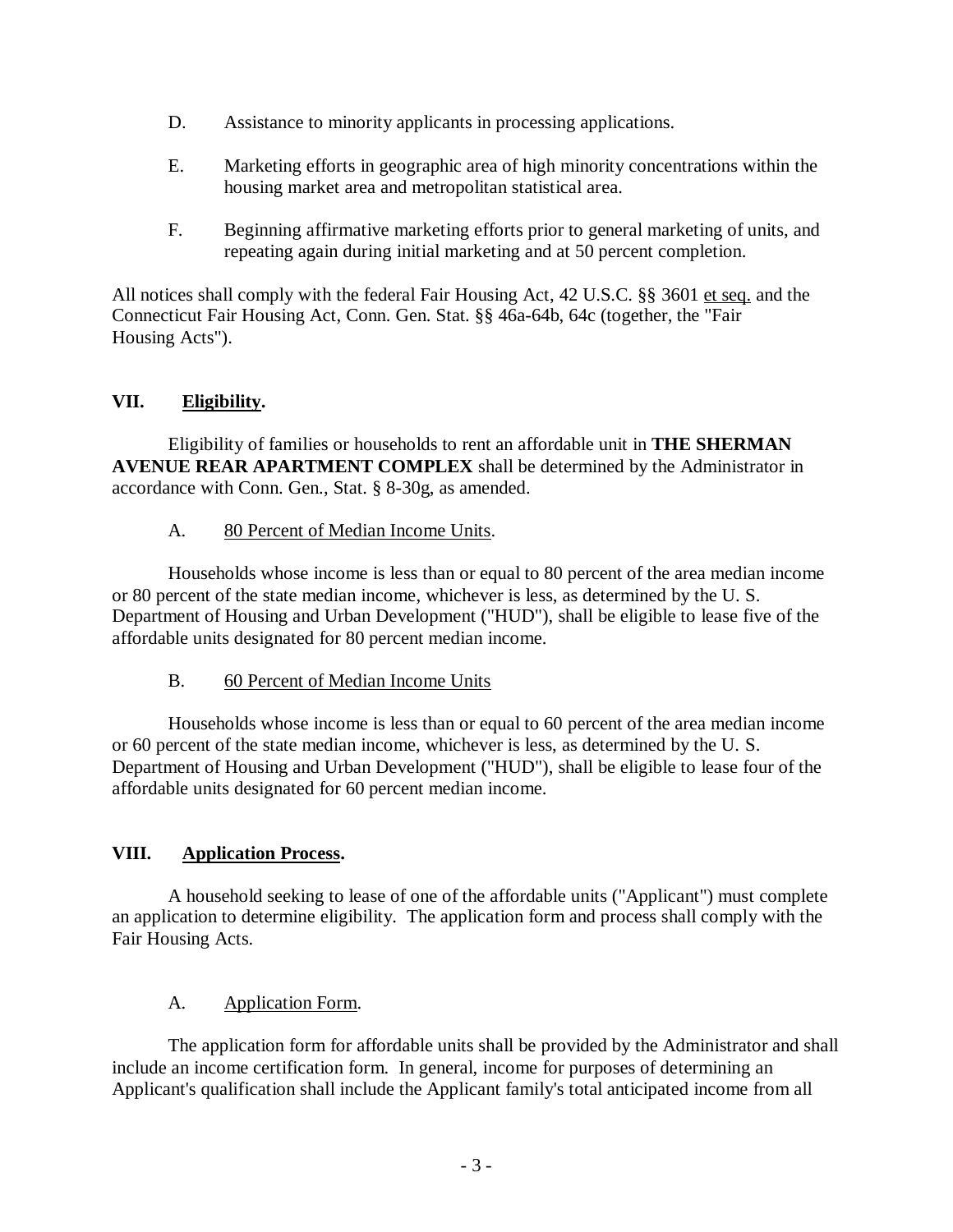- D. Assistance to minority applicants in processing applications.
- E. Marketing efforts in geographic area of high minority concentrations within the housing market area and metropolitan statistical area.
- F. Beginning affirmative marketing efforts prior to general marketing of units, and repeating again during initial marketing and at 50 percent completion.

All notices shall comply with the federal Fair Housing Act, 42 U.S.C. §§ 3601 et seq. and the Connecticut Fair Housing Act, Conn. Gen. Stat. §§ 46a-64b, 64c (together, the "Fair Housing Acts").

## **VII. Eligibility.**

Eligibility of families or households to rent an affordable unit in **THE SHERMAN AVENUE REAR APARTMENT COMPLEX** shall be determined by the Administrator in accordance with Conn. Gen., Stat. § 8-30g, as amended.

A. 80 Percent of Median Income Units.

Households whose income is less than or equal to 80 percent of the area median income or 80 percent of the state median income, whichever is less, as determined by the U. S. Department of Housing and Urban Development ("HUD"), shall be eligible to lease five of the affordable units designated for 80 percent median income.

B. 60 Percent of Median Income Units

Households whose income is less than or equal to 60 percent of the area median income or 60 percent of the state median income, whichever is less, as determined by the U. S. Department of Housing and Urban Development ("HUD"), shall be eligible to lease four of the affordable units designated for 60 percent median income.

## **VIII. Application Process.**

A household seeking to lease of one of the affordable units ("Applicant") must complete an application to determine eligibility. The application form and process shall comply with the Fair Housing Acts.

## A. Application Form.

The application form for affordable units shall be provided by the Administrator and shall include an income certification form. In general, income for purposes of determining an Applicant's qualification shall include the Applicant family's total anticipated income from all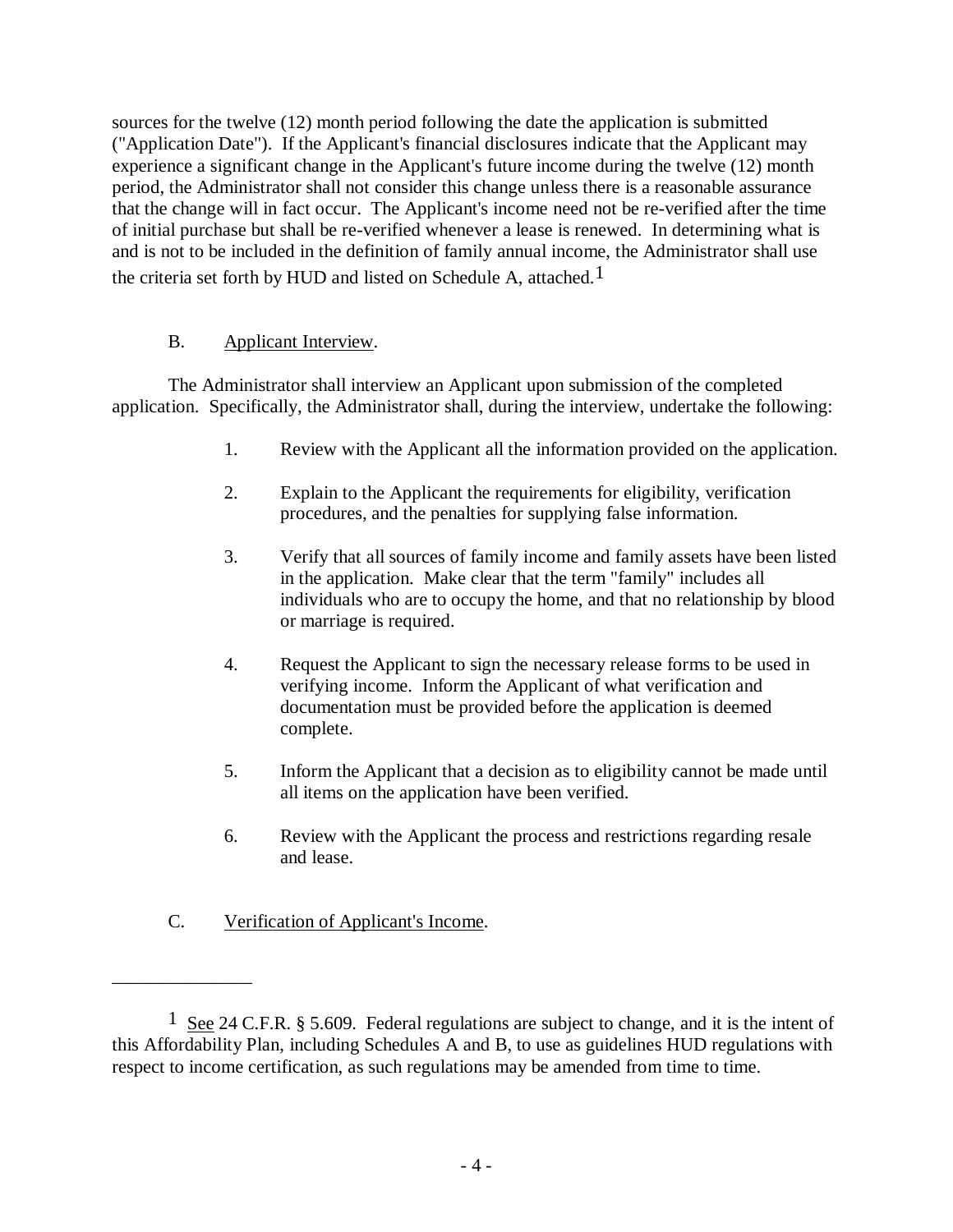sources for the twelve (12) month period following the date the application is submitted ("Application Date"). If the Applicant's financial disclosures indicate that the Applicant may experience a significant change in the Applicant's future income during the twelve (12) month period, the Administrator shall not consider this change unless there is a reasonable assurance that the change will in fact occur. The Applicant's income need not be re-verified after the time of initial purchase but shall be re-verified whenever a lease is renewed. In determining what is and is not to be included in the definition of family annual income, the Administrator shall use the criteria set forth by HUD and listed on Schedule A, attached.<sup>1</sup>

## B. Applicant Interview.

The Administrator shall interview an Applicant upon submission of the completed application. Specifically, the Administrator shall, during the interview, undertake the following:

- 1. Review with the Applicant all the information provided on the application.
- 2. Explain to the Applicant the requirements for eligibility, verification procedures, and the penalties for supplying false information.
- 3. Verify that all sources of family income and family assets have been listed in the application. Make clear that the term "family" includes all individuals who are to occupy the home, and that no relationship by blood or marriage is required.
- 4. Request the Applicant to sign the necessary release forms to be used in verifying income. Inform the Applicant of what verification and documentation must be provided before the application is deemed complete.
- 5. Inform the Applicant that a decision as to eligibility cannot be made until all items on the application have been verified.
- 6. Review with the Applicant the process and restrictions regarding resale and lease.
- C. Verification of Applicant's Income.

\_\_\_\_\_\_\_\_\_\_\_\_\_\_\_

<sup>1</sup> See 24 C.F.R. § 5.609. Federal regulations are subject to change, and it is the intent of this Affordability Plan, including Schedules A and B, to use as guidelines HUD regulations with respect to income certification, as such regulations may be amended from time to time.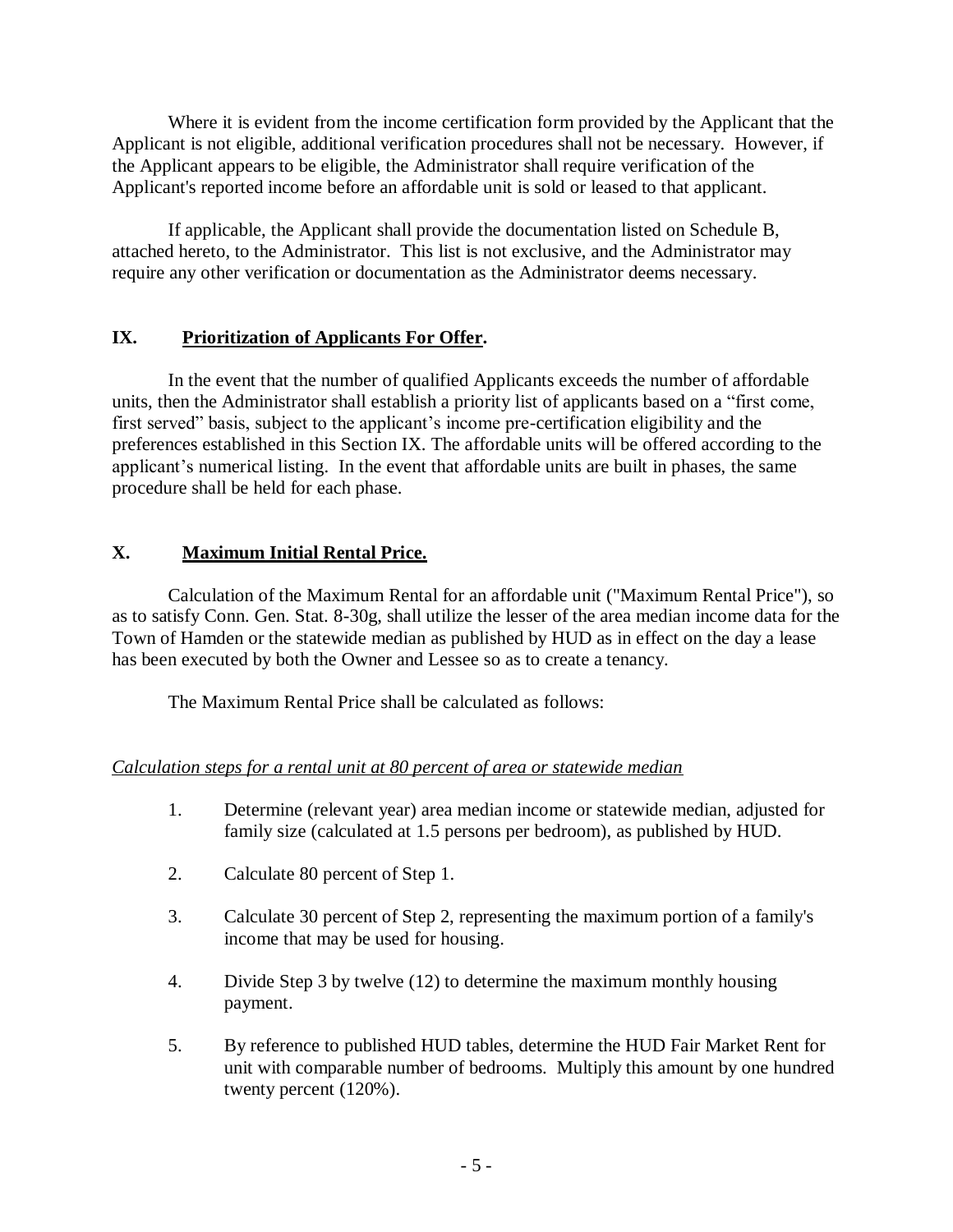Where it is evident from the income certification form provided by the Applicant that the Applicant is not eligible, additional verification procedures shall not be necessary. However, if the Applicant appears to be eligible, the Administrator shall require verification of the Applicant's reported income before an affordable unit is sold or leased to that applicant.

If applicable, the Applicant shall provide the documentation listed on Schedule B, attached hereto, to the Administrator. This list is not exclusive, and the Administrator may require any other verification or documentation as the Administrator deems necessary.

## **IX. Prioritization of Applicants For Offer.**

In the event that the number of qualified Applicants exceeds the number of affordable units, then the Administrator shall establish a priority list of applicants based on a "first come, first served" basis, subject to the applicant's income pre-certification eligibility and the preferences established in this Section IX. The affordable units will be offered according to the applicant's numerical listing. In the event that affordable units are built in phases, the same procedure shall be held for each phase.

## **X. Maximum Initial Rental Price.**

Calculation of the Maximum Rental for an affordable unit ("Maximum Rental Price"), so as to satisfy Conn. Gen. Stat. 8-30g, shall utilize the lesser of the area median income data for the Town of Hamden or the statewide median as published by HUD as in effect on the day a lease has been executed by both the Owner and Lessee so as to create a tenancy.

The Maximum Rental Price shall be calculated as follows:

#### *Calculation steps for a rental unit at 80 percent of area or statewide median*

- 1. Determine (relevant year) area median income or statewide median, adjusted for family size (calculated at 1.5 persons per bedroom), as published by HUD.
- 2. Calculate 80 percent of Step 1.
- 3. Calculate 30 percent of Step 2, representing the maximum portion of a family's income that may be used for housing.
- 4. Divide Step 3 by twelve (12) to determine the maximum monthly housing payment.
- 5. By reference to published HUD tables, determine the HUD Fair Market Rent for unit with comparable number of bedrooms. Multiply this amount by one hundred twenty percent (120%).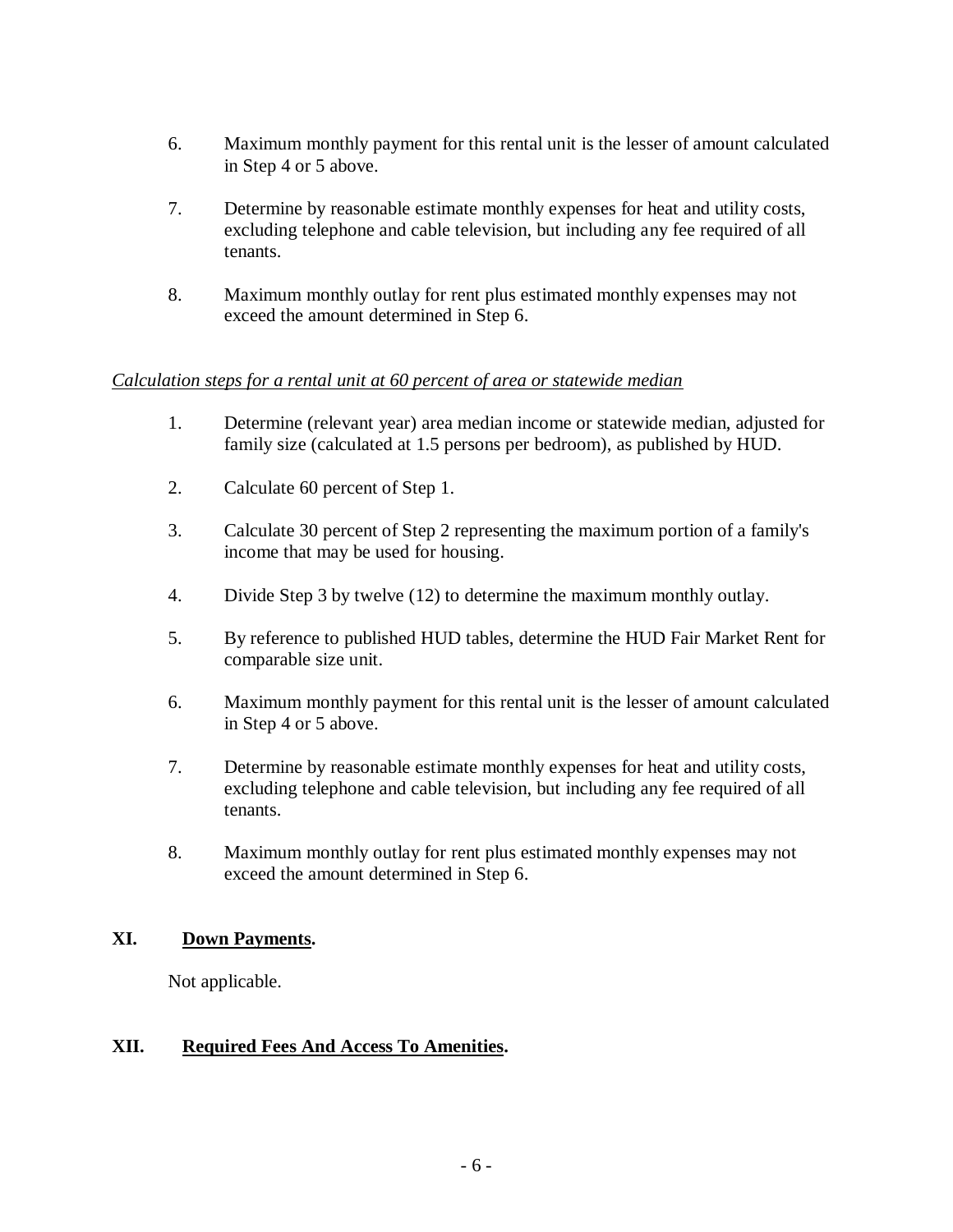- 6. Maximum monthly payment for this rental unit is the lesser of amount calculated in Step 4 or 5 above.
- 7. Determine by reasonable estimate monthly expenses for heat and utility costs, excluding telephone and cable television, but including any fee required of all tenants.
- 8. Maximum monthly outlay for rent plus estimated monthly expenses may not exceed the amount determined in Step 6.

#### *Calculation steps for a rental unit at 60 percent of area or statewide median*

- 1. Determine (relevant year) area median income or statewide median, adjusted for family size (calculated at 1.5 persons per bedroom), as published by HUD.
- 2. Calculate 60 percent of Step 1.
- 3. Calculate 30 percent of Step 2 representing the maximum portion of a family's income that may be used for housing.
- 4. Divide Step 3 by twelve (12) to determine the maximum monthly outlay.
- 5. By reference to published HUD tables, determine the HUD Fair Market Rent for comparable size unit.
- 6. Maximum monthly payment for this rental unit is the lesser of amount calculated in Step 4 or 5 above.
- 7. Determine by reasonable estimate monthly expenses for heat and utility costs, excluding telephone and cable television, but including any fee required of all tenants.
- 8. Maximum monthly outlay for rent plus estimated monthly expenses may not exceed the amount determined in Step 6.

#### **XI. Down Payments.**

Not applicable.

#### **XII. Required Fees And Access To Amenities.**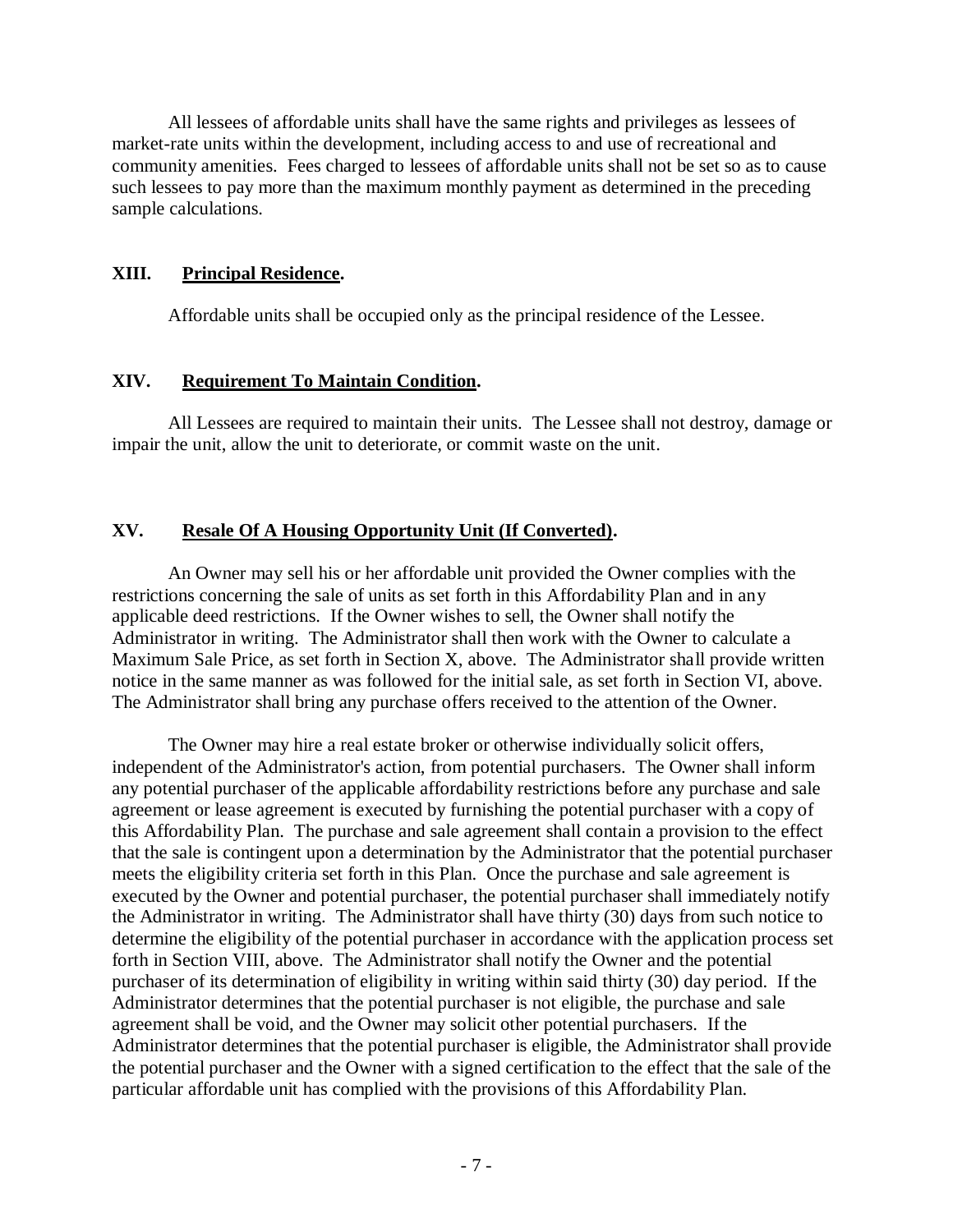All lessees of affordable units shall have the same rights and privileges as lessees of market-rate units within the development, including access to and use of recreational and community amenities. Fees charged to lessees of affordable units shall not be set so as to cause such lessees to pay more than the maximum monthly payment as determined in the preceding sample calculations.

#### **XIII. Principal Residence.**

Affordable units shall be occupied only as the principal residence of the Lessee.

#### **XIV. Requirement To Maintain Condition.**

All Lessees are required to maintain their units. The Lessee shall not destroy, damage or impair the unit, allow the unit to deteriorate, or commit waste on the unit.

#### **XV. Resale Of A Housing Opportunity Unit (If Converted).**

An Owner may sell his or her affordable unit provided the Owner complies with the restrictions concerning the sale of units as set forth in this Affordability Plan and in any applicable deed restrictions. If the Owner wishes to sell, the Owner shall notify the Administrator in writing. The Administrator shall then work with the Owner to calculate a Maximum Sale Price, as set forth in Section X, above. The Administrator shall provide written notice in the same manner as was followed for the initial sale, as set forth in Section VI, above. The Administrator shall bring any purchase offers received to the attention of the Owner.

The Owner may hire a real estate broker or otherwise individually solicit offers, independent of the Administrator's action, from potential purchasers. The Owner shall inform any potential purchaser of the applicable affordability restrictions before any purchase and sale agreement or lease agreement is executed by furnishing the potential purchaser with a copy of this Affordability Plan. The purchase and sale agreement shall contain a provision to the effect that the sale is contingent upon a determination by the Administrator that the potential purchaser meets the eligibility criteria set forth in this Plan. Once the purchase and sale agreement is executed by the Owner and potential purchaser, the potential purchaser shall immediately notify the Administrator in writing. The Administrator shall have thirty (30) days from such notice to determine the eligibility of the potential purchaser in accordance with the application process set forth in Section VIII, above. The Administrator shall notify the Owner and the potential purchaser of its determination of eligibility in writing within said thirty (30) day period. If the Administrator determines that the potential purchaser is not eligible, the purchase and sale agreement shall be void, and the Owner may solicit other potential purchasers. If the Administrator determines that the potential purchaser is eligible, the Administrator shall provide the potential purchaser and the Owner with a signed certification to the effect that the sale of the particular affordable unit has complied with the provisions of this Affordability Plan.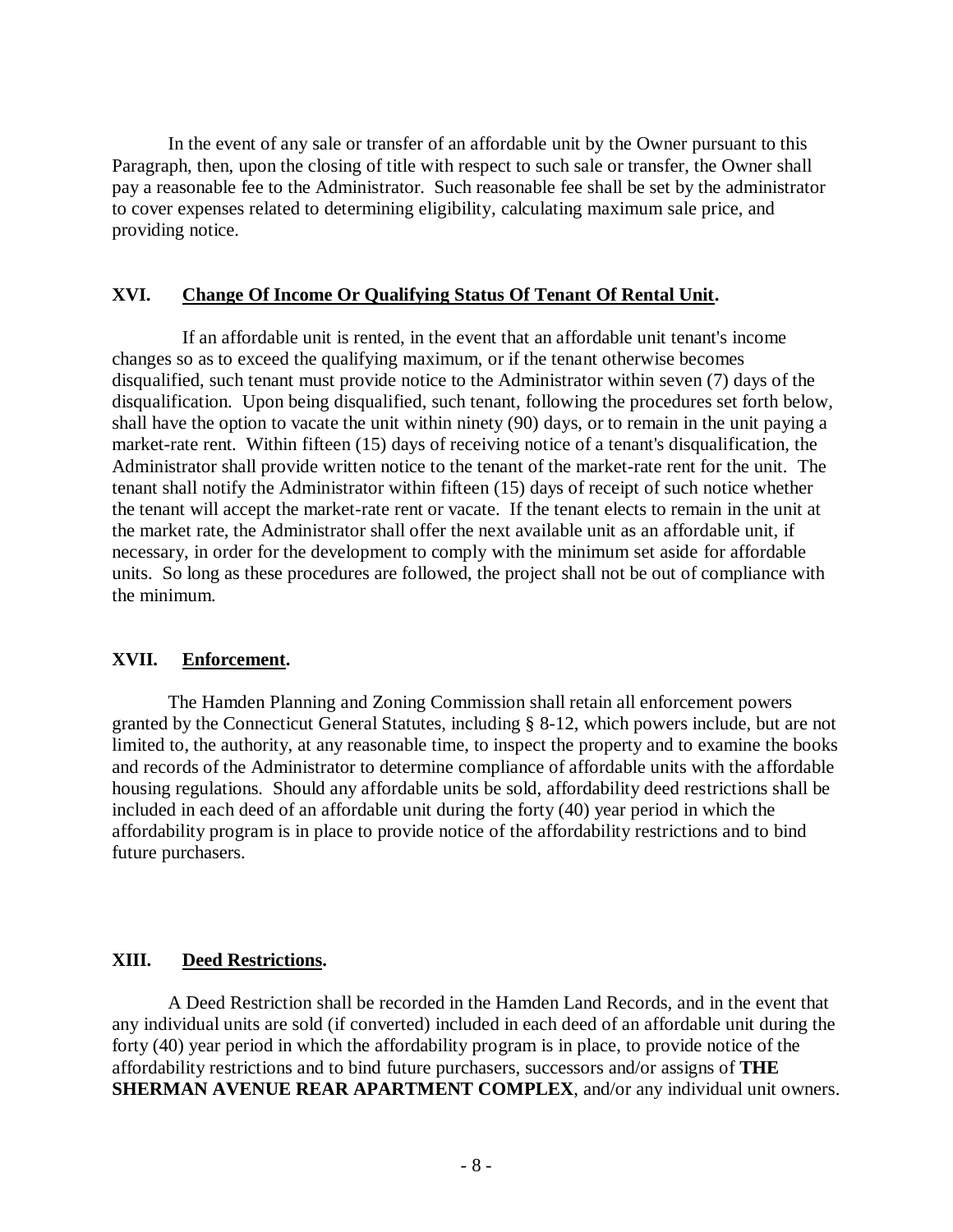In the event of any sale or transfer of an affordable unit by the Owner pursuant to this Paragraph, then, upon the closing of title with respect to such sale or transfer, the Owner shall pay a reasonable fee to the Administrator. Such reasonable fee shall be set by the administrator to cover expenses related to determining eligibility, calculating maximum sale price, and providing notice.

#### **XVI. Change Of Income Or Qualifying Status Of Tenant Of Rental Unit.**

If an affordable unit is rented, in the event that an affordable unit tenant's income changes so as to exceed the qualifying maximum, or if the tenant otherwise becomes disqualified, such tenant must provide notice to the Administrator within seven (7) days of the disqualification. Upon being disqualified, such tenant, following the procedures set forth below, shall have the option to vacate the unit within ninety (90) days, or to remain in the unit paying a market-rate rent. Within fifteen (15) days of receiving notice of a tenant's disqualification, the Administrator shall provide written notice to the tenant of the market-rate rent for the unit. The tenant shall notify the Administrator within fifteen (15) days of receipt of such notice whether the tenant will accept the market-rate rent or vacate. If the tenant elects to remain in the unit at the market rate, the Administrator shall offer the next available unit as an affordable unit, if necessary, in order for the development to comply with the minimum set aside for affordable units. So long as these procedures are followed, the project shall not be out of compliance with the minimum.

#### **XVII. Enforcement.**

The Hamden Planning and Zoning Commission shall retain all enforcement powers granted by the Connecticut General Statutes, including § 8-12, which powers include, but are not limited to, the authority, at any reasonable time, to inspect the property and to examine the books and records of the Administrator to determine compliance of affordable units with the affordable housing regulations. Should any affordable units be sold, affordability deed restrictions shall be included in each deed of an affordable unit during the forty (40) year period in which the affordability program is in place to provide notice of the affordability restrictions and to bind future purchasers.

#### **XIII. Deed Restrictions.**

A Deed Restriction shall be recorded in the Hamden Land Records, and in the event that any individual units are sold (if converted) included in each deed of an affordable unit during the forty (40) year period in which the affordability program is in place, to provide notice of the affordability restrictions and to bind future purchasers, successors and/or assigns of **THE SHERMAN AVENUE REAR APARTMENT COMPLEX**, and/or any individual unit owners.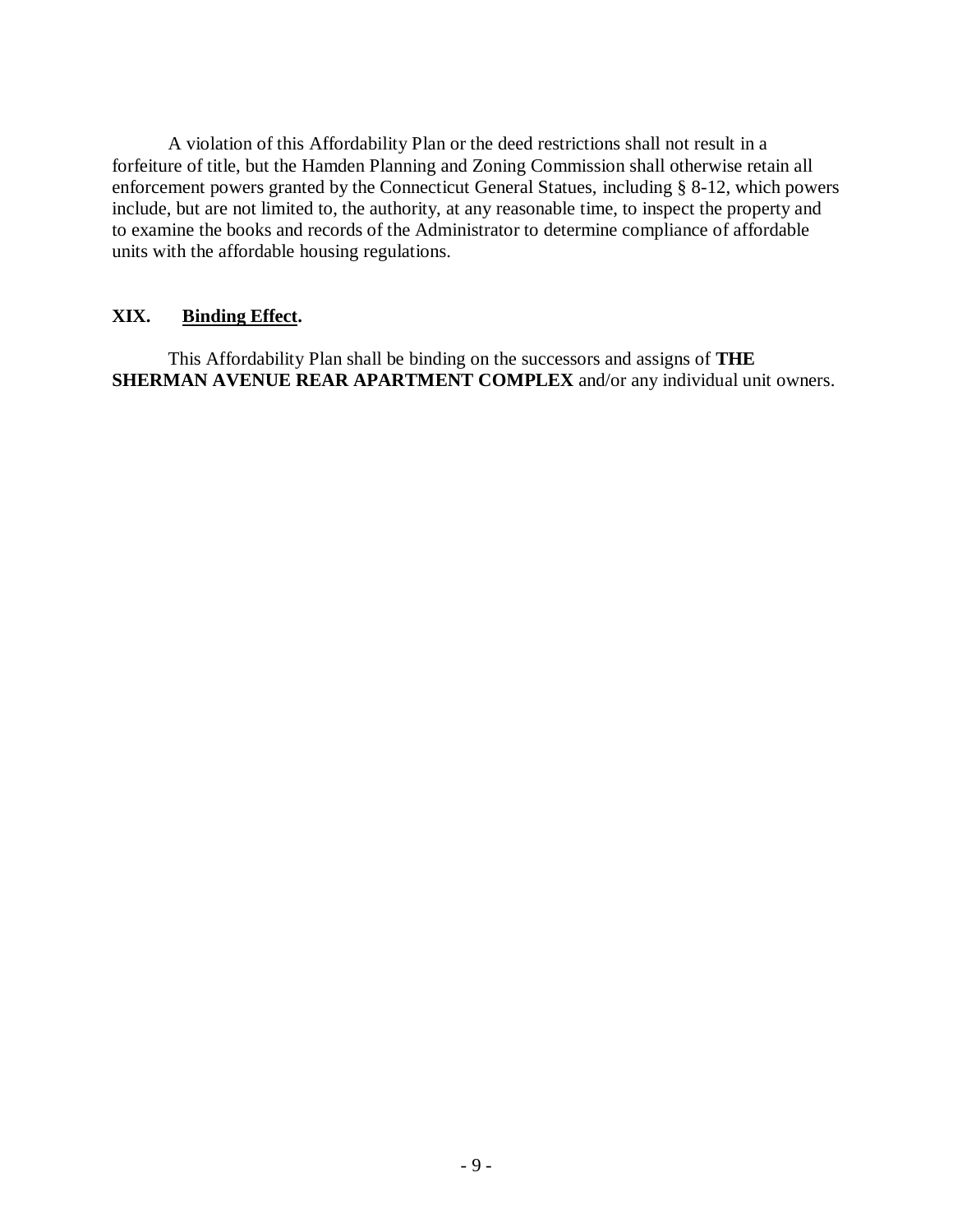A violation of this Affordability Plan or the deed restrictions shall not result in a forfeiture of title, but the Hamden Planning and Zoning Commission shall otherwise retain all enforcement powers granted by the Connecticut General Statues, including § 8-12, which powers include, but are not limited to, the authority, at any reasonable time, to inspect the property and to examine the books and records of the Administrator to determine compliance of affordable units with the affordable housing regulations.

#### **XIX. Binding Effect.**

This Affordability Plan shall be binding on the successors and assigns of **THE SHERMAN AVENUE REAR APARTMENT COMPLEX** and/or any individual unit owners.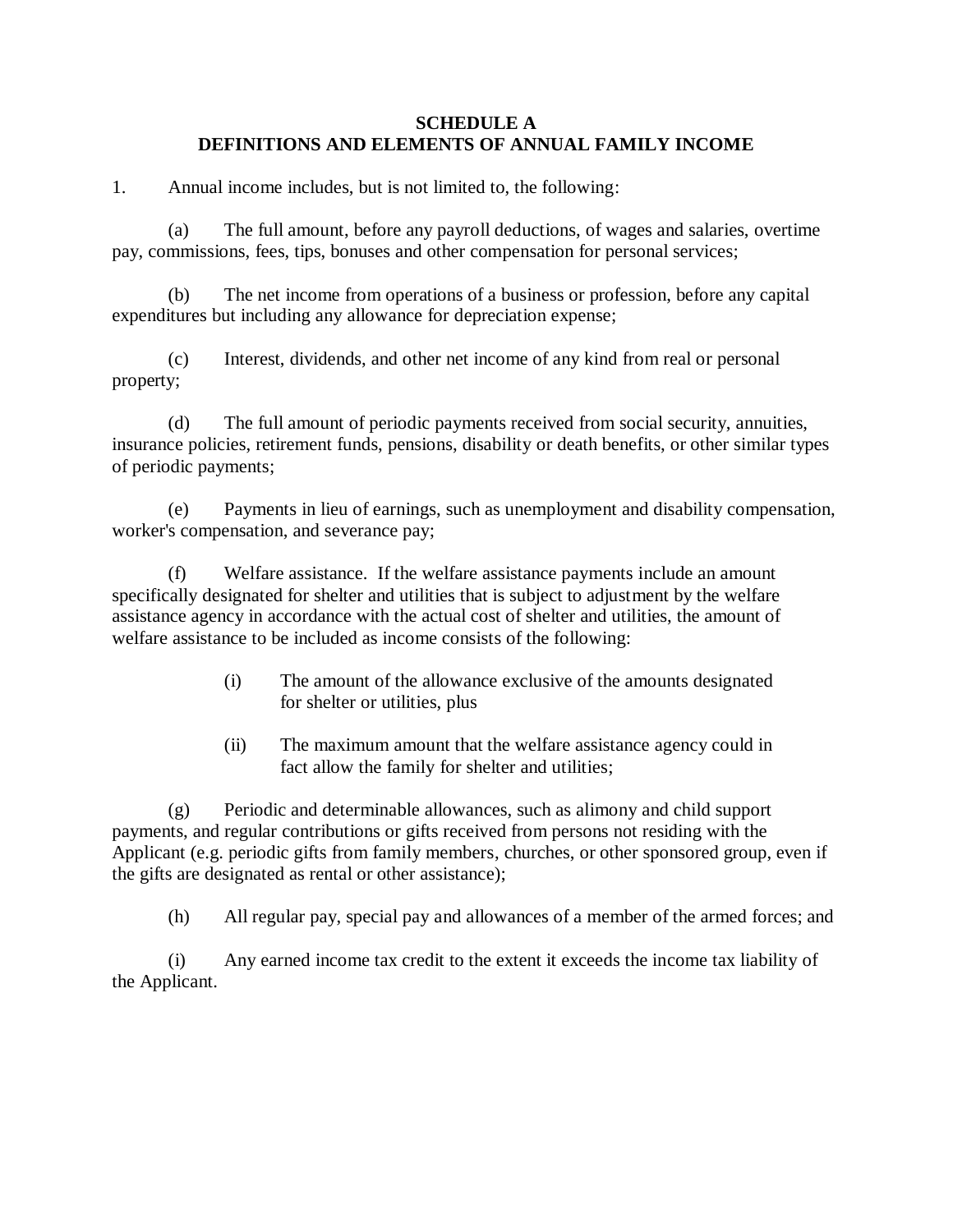#### **SCHEDULE A DEFINITIONS AND ELEMENTS OF ANNUAL FAMILY INCOME**

1. Annual income includes, but is not limited to, the following:

(a) The full amount, before any payroll deductions, of wages and salaries, overtime pay, commissions, fees, tips, bonuses and other compensation for personal services;

(b) The net income from operations of a business or profession, before any capital expenditures but including any allowance for depreciation expense;

(c) Interest, dividends, and other net income of any kind from real or personal property;

(d) The full amount of periodic payments received from social security, annuities, insurance policies, retirement funds, pensions, disability or death benefits, or other similar types of periodic payments;

(e) Payments in lieu of earnings, such as unemployment and disability compensation, worker's compensation, and severance pay;

(f) Welfare assistance. If the welfare assistance payments include an amount specifically designated for shelter and utilities that is subject to adjustment by the welfare assistance agency in accordance with the actual cost of shelter and utilities, the amount of welfare assistance to be included as income consists of the following:

- (i) The amount of the allowance exclusive of the amounts designated for shelter or utilities, plus
- (ii) The maximum amount that the welfare assistance agency could in fact allow the family for shelter and utilities;

(g) Periodic and determinable allowances, such as alimony and child support payments, and regular contributions or gifts received from persons not residing with the Applicant (e.g. periodic gifts from family members, churches, or other sponsored group, even if the gifts are designated as rental or other assistance);

(h) All regular pay, special pay and allowances of a member of the armed forces; and

(i) Any earned income tax credit to the extent it exceeds the income tax liability of the Applicant.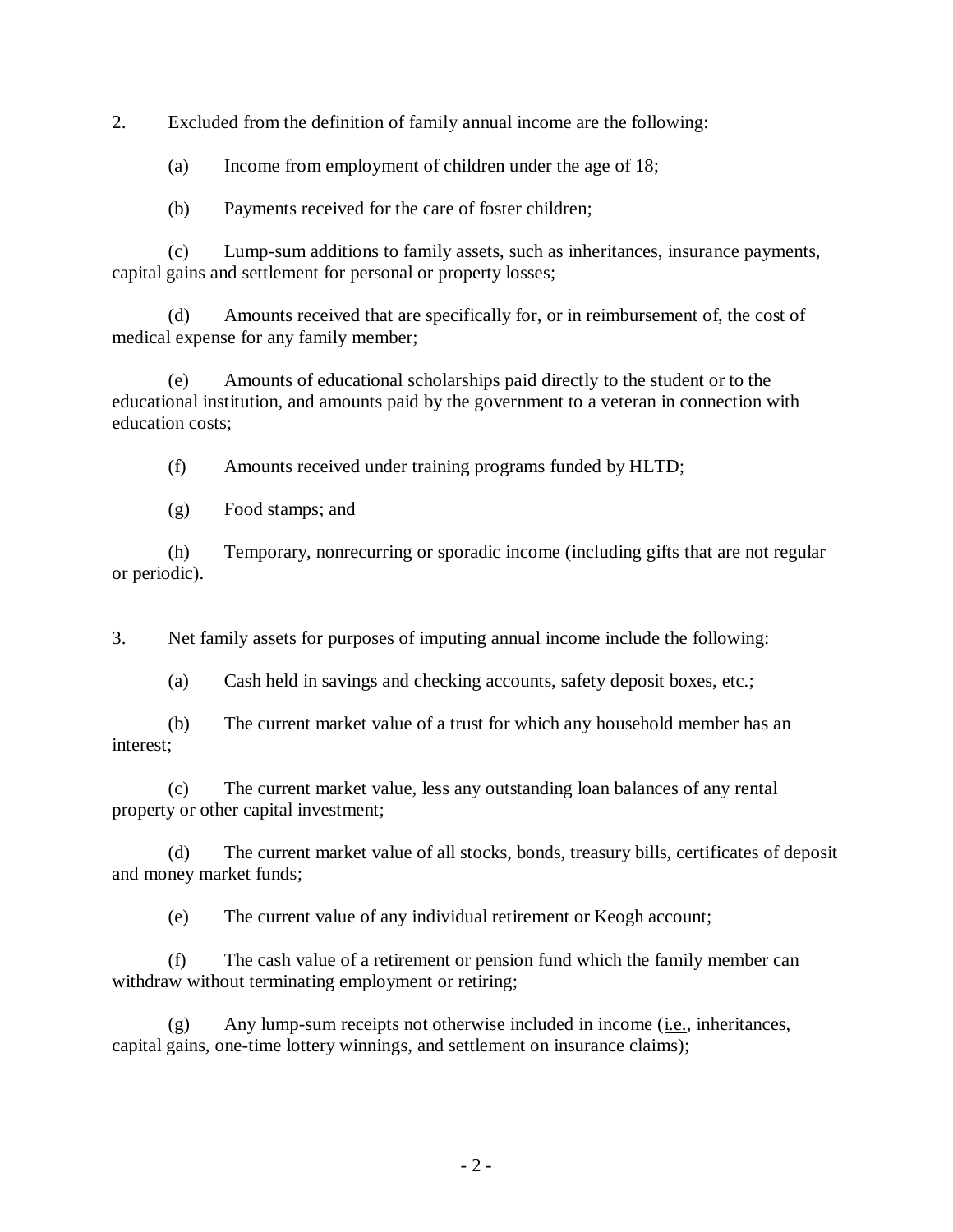2. Excluded from the definition of family annual income are the following:

(a) Income from employment of children under the age of 18;

(b) Payments received for the care of foster children;

(c) Lump-sum additions to family assets, such as inheritances, insurance payments, capital gains and settlement for personal or property losses;

(d) Amounts received that are specifically for, or in reimbursement of, the cost of medical expense for any family member;

(e) Amounts of educational scholarships paid directly to the student or to the educational institution, and amounts paid by the government to a veteran in connection with education costs;

(f) Amounts received under training programs funded by HLTD;

(g) Food stamps; and

(h) Temporary, nonrecurring or sporadic income (including gifts that are not regular or periodic).

3. Net family assets for purposes of imputing annual income include the following:

(a) Cash held in savings and checking accounts, safety deposit boxes, etc.;

(b) The current market value of a trust for which any household member has an interest;

(c) The current market value, less any outstanding loan balances of any rental property or other capital investment;

(d) The current market value of all stocks, bonds, treasury bills, certificates of deposit and money market funds;

(e) The current value of any individual retirement or Keogh account;

(f) The cash value of a retirement or pension fund which the family member can withdraw without terminating employment or retiring;

(g) Any lump-sum receipts not otherwise included in income (i.e., inheritances, capital gains, one-time lottery winnings, and settlement on insurance claims);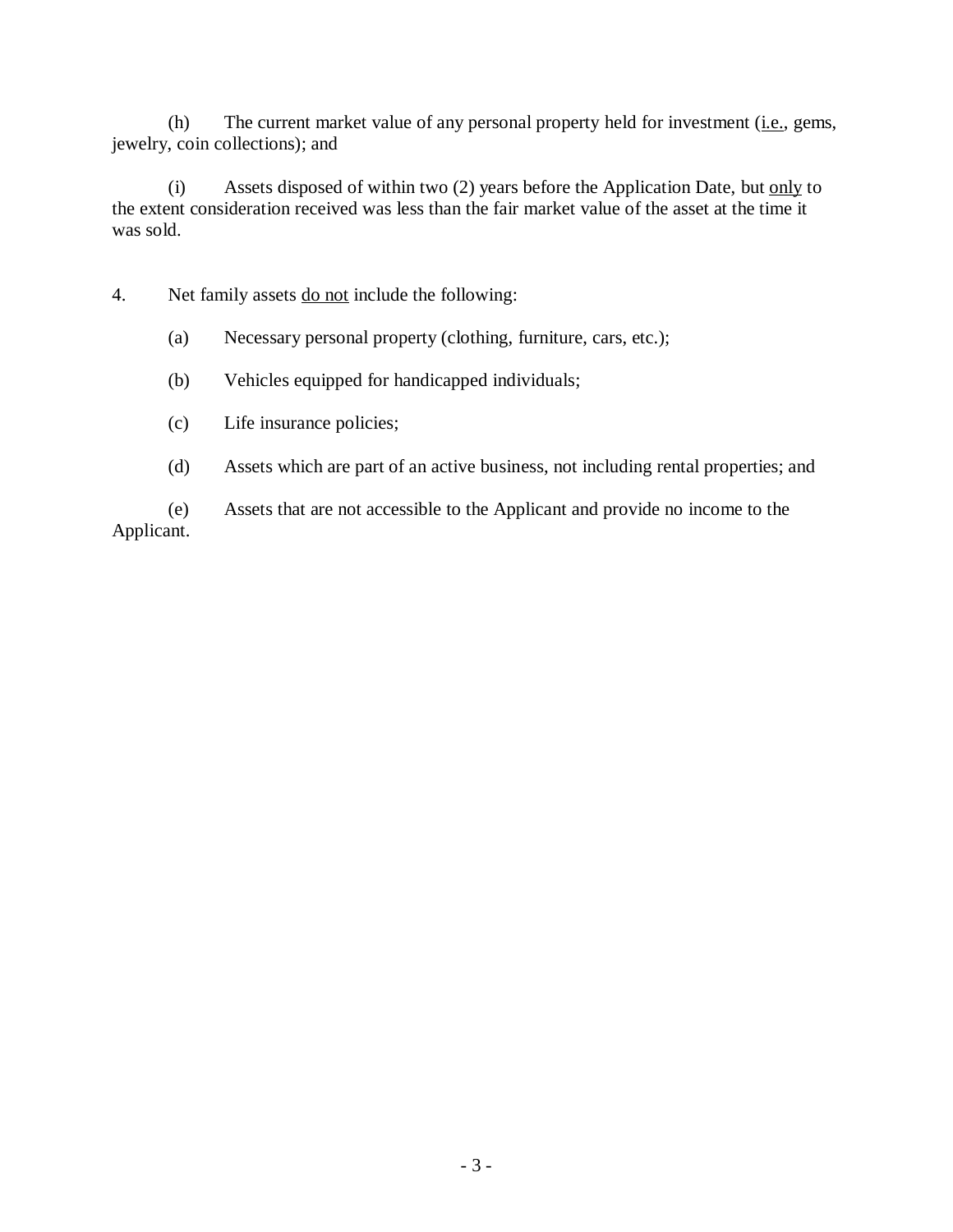(h) The current market value of any personal property held for investment (i.e., gems, jewelry, coin collections); and

(i) Assets disposed of within two  $(2)$  years before the Application Date, but only to the extent consideration received was less than the fair market value of the asset at the time it was sold.

4. Net family assets do not include the following:

- (a) Necessary personal property (clothing, furniture, cars, etc.);
- (b) Vehicles equipped for handicapped individuals;
- (c) Life insurance policies;
- (d) Assets which are part of an active business, not including rental properties; and

(e) Assets that are not accessible to the Applicant and provide no income to the Applicant.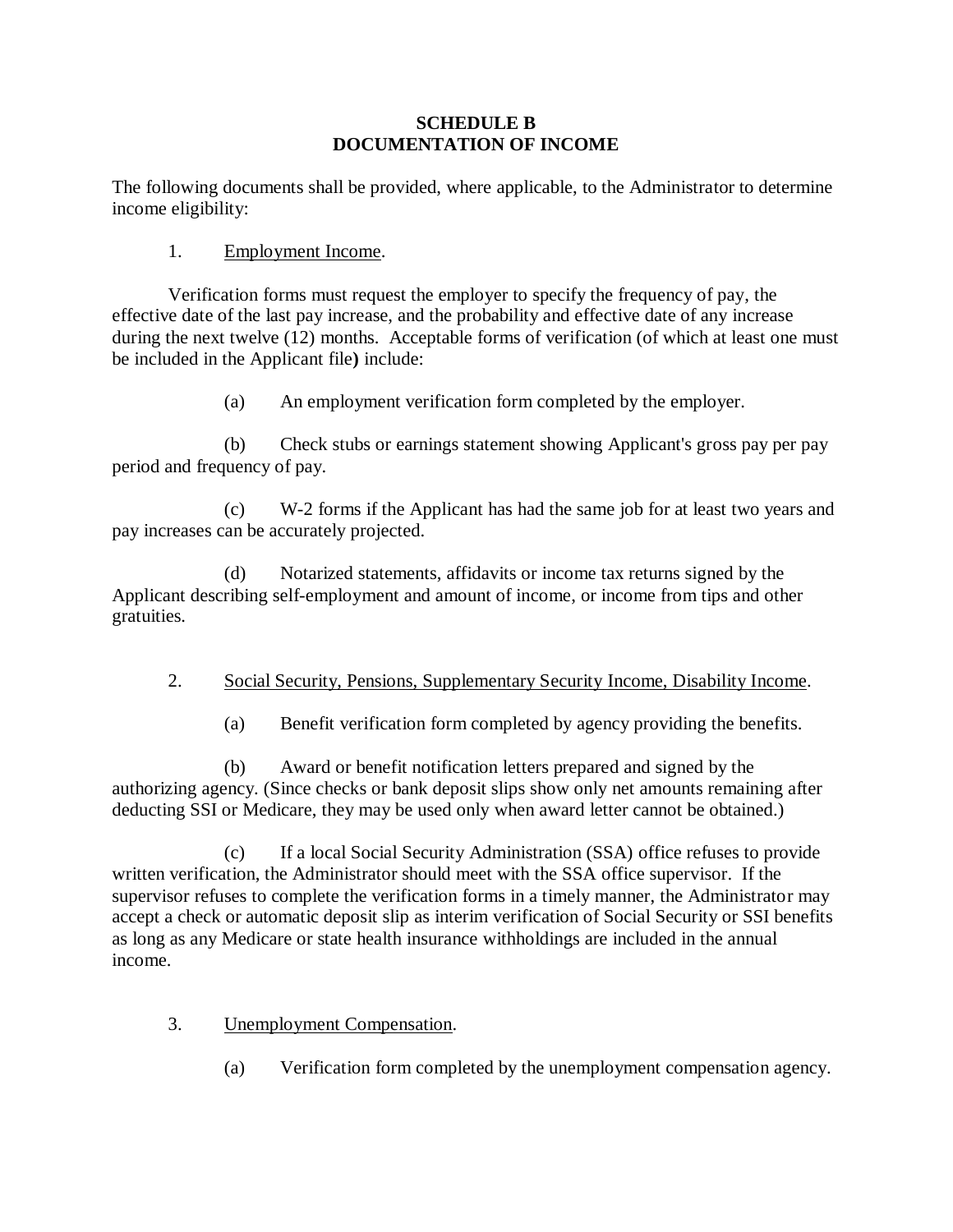#### **SCHEDULE B DOCUMENTATION OF INCOME**

The following documents shall be provided, where applicable, to the Administrator to determine income eligibility:

#### 1. Employment Income.

Verification forms must request the employer to specify the frequency of pay, the effective date of the last pay increase, and the probability and effective date of any increase during the next twelve (12) months. Acceptable forms of verification (of which at least one must be included in the Applicant file**)** include:

(a) An employment verification form completed by the employer.

(b) Check stubs or earnings statement showing Applicant's gross pay per pay period and frequency of pay.

(c) W-2 forms if the Applicant has had the same job for at least two years and pay increases can be accurately projected.

(d) Notarized statements, affidavits or income tax returns signed by the Applicant describing self-employment and amount of income, or income from tips and other gratuities.

#### 2. Social Security, Pensions, Supplementary Security Income, Disability Income.

(a) Benefit verification form completed by agency providing the benefits.

(b) Award or benefit notification letters prepared and signed by the authorizing agency. (Since checks or bank deposit slips show only net amounts remaining after deducting SSI or Medicare, they may be used only when award letter cannot be obtained.)

(c) If a local Social Security Administration (SSA) office refuses to provide written verification, the Administrator should meet with the SSA office supervisor. If the supervisor refuses to complete the verification forms in a timely manner, the Administrator may accept a check or automatic deposit slip as interim verification of Social Security or SSI benefits as long as any Medicare or state health insurance withholdings are included in the annual income.

3. Unemployment Compensation.

(a) Verification form completed by the unemployment compensation agency.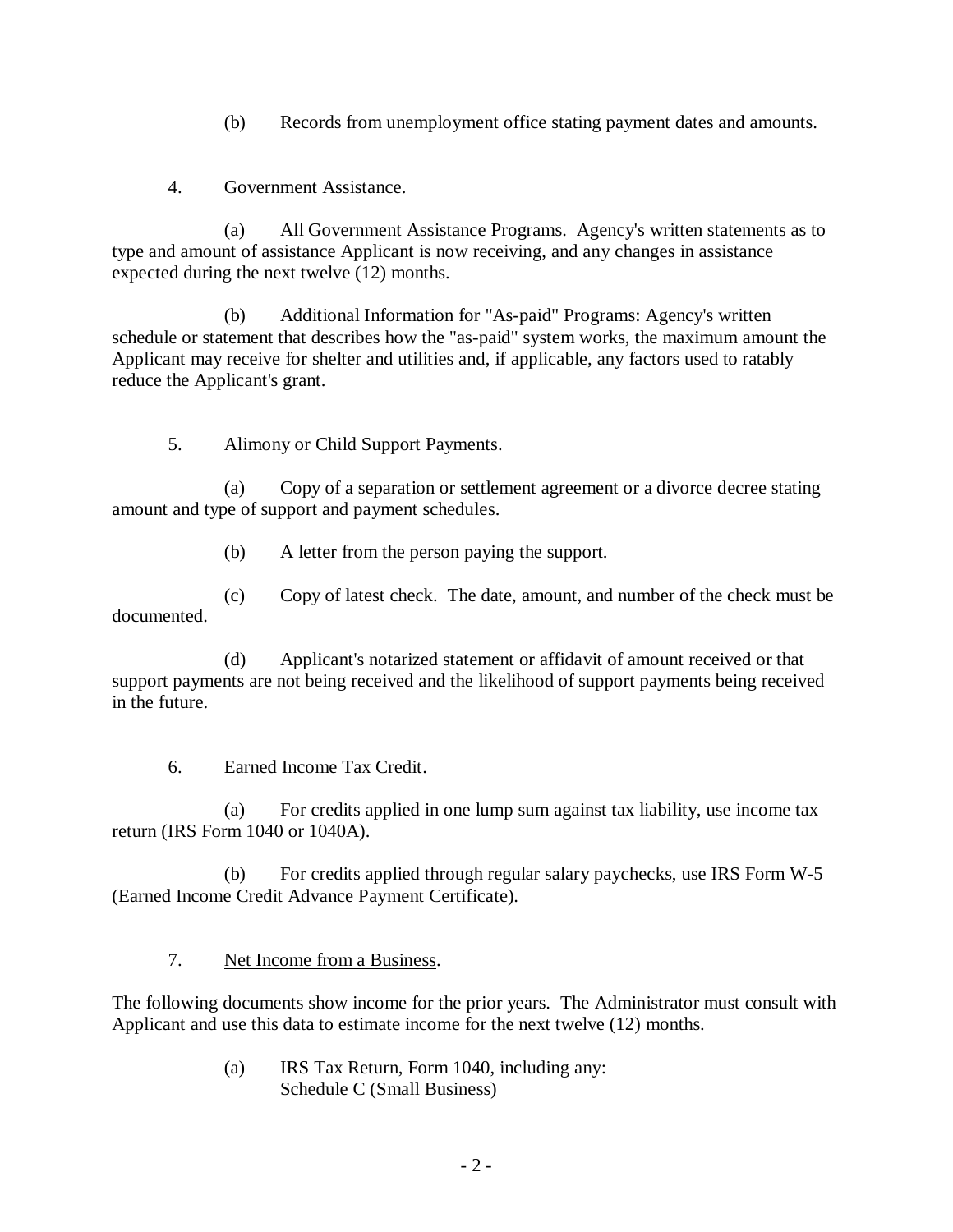(b) Records from unemployment office stating payment dates and amounts.

#### 4. Government Assistance.

(a) All Government Assistance Programs. Agency's written statements as to type and amount of assistance Applicant is now receiving, and any changes in assistance expected during the next twelve (12) months.

(b) Additional Information for "As-paid" Programs: Agency's written schedule or statement that describes how the "as-paid" system works, the maximum amount the Applicant may receive for shelter and utilities and, if applicable, any factors used to ratably reduce the Applicant's grant.

## 5. Alimony or Child Support Payments.

(a) Copy of a separation or settlement agreement or a divorce decree stating amount and type of support and payment schedules.

(b) A letter from the person paying the support.

(c) Copy of latest check. The date, amount, and number of the check must be documented.

(d) Applicant's notarized statement or affidavit of amount received or that support payments are not being received and the likelihood of support payments being received in the future.

## 6. Earned Income Tax Credit.

(a) For credits applied in one lump sum against tax liability, use income tax return (IRS Form 1040 or 1040A).

(b) For credits applied through regular salary paychecks, use IRS Form W-5 (Earned Income Credit Advance Payment Certificate).

7. Net Income from a Business.

The following documents show income for the prior years. The Administrator must consult with Applicant and use this data to estimate income for the next twelve (12) months.

> (a) IRS Tax Return, Form 1040, including any: Schedule C (Small Business)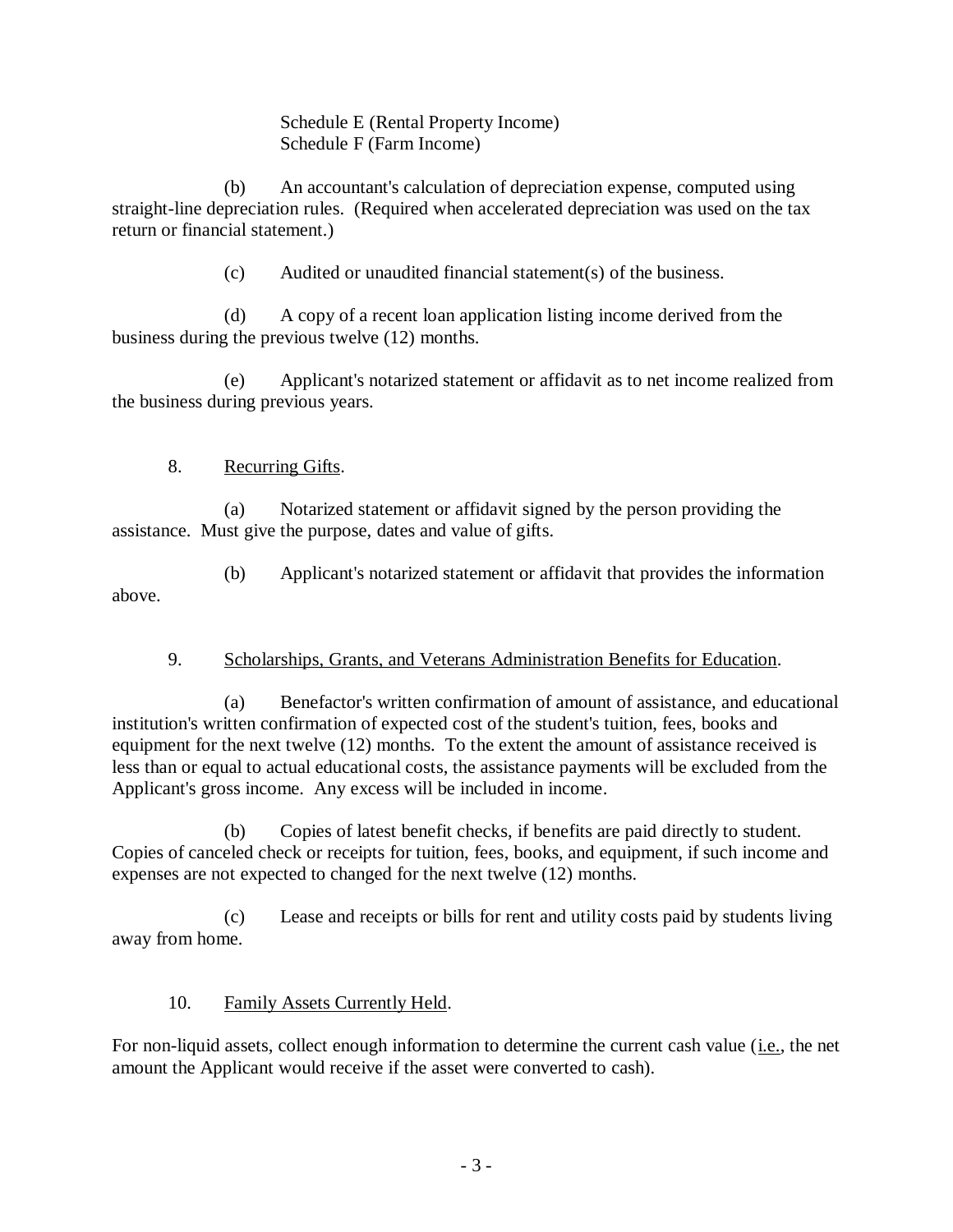Schedule E (Rental Property Income) Schedule F (Farm Income)

(b) An accountant's calculation of depreciation expense, computed using straight-line depreciation rules. (Required when accelerated depreciation was used on the tax return or financial statement.)

(c) Audited or unaudited financial statement(s) of the business.

(d) A copy of a recent loan application listing income derived from the business during the previous twelve (12) months.

(e) Applicant's notarized statement or affidavit as to net income realized from the business during previous years.

## 8. Recurring Gifts.

(a) Notarized statement or affidavit signed by the person providing the assistance. Must give the purpose, dates and value of gifts.

(b) Applicant's notarized statement or affidavit that provides the information above.

## 9. Scholarships, Grants, and Veterans Administration Benefits for Education.

(a) Benefactor's written confirmation of amount of assistance, and educational institution's written confirmation of expected cost of the student's tuition, fees, books and equipment for the next twelve (12) months. To the extent the amount of assistance received is less than or equal to actual educational costs, the assistance payments will be excluded from the Applicant's gross income. Any excess will be included in income.

(b) Copies of latest benefit checks, if benefits are paid directly to student. Copies of canceled check or receipts for tuition, fees, books, and equipment, if such income and expenses are not expected to changed for the next twelve (12) months.

(c) Lease and receipts or bills for rent and utility costs paid by students living away from home.

## 10. Family Assets Currently Held.

For non-liquid assets, collect enough information to determine the current cash value (i.e., the net amount the Applicant would receive if the asset were converted to cash).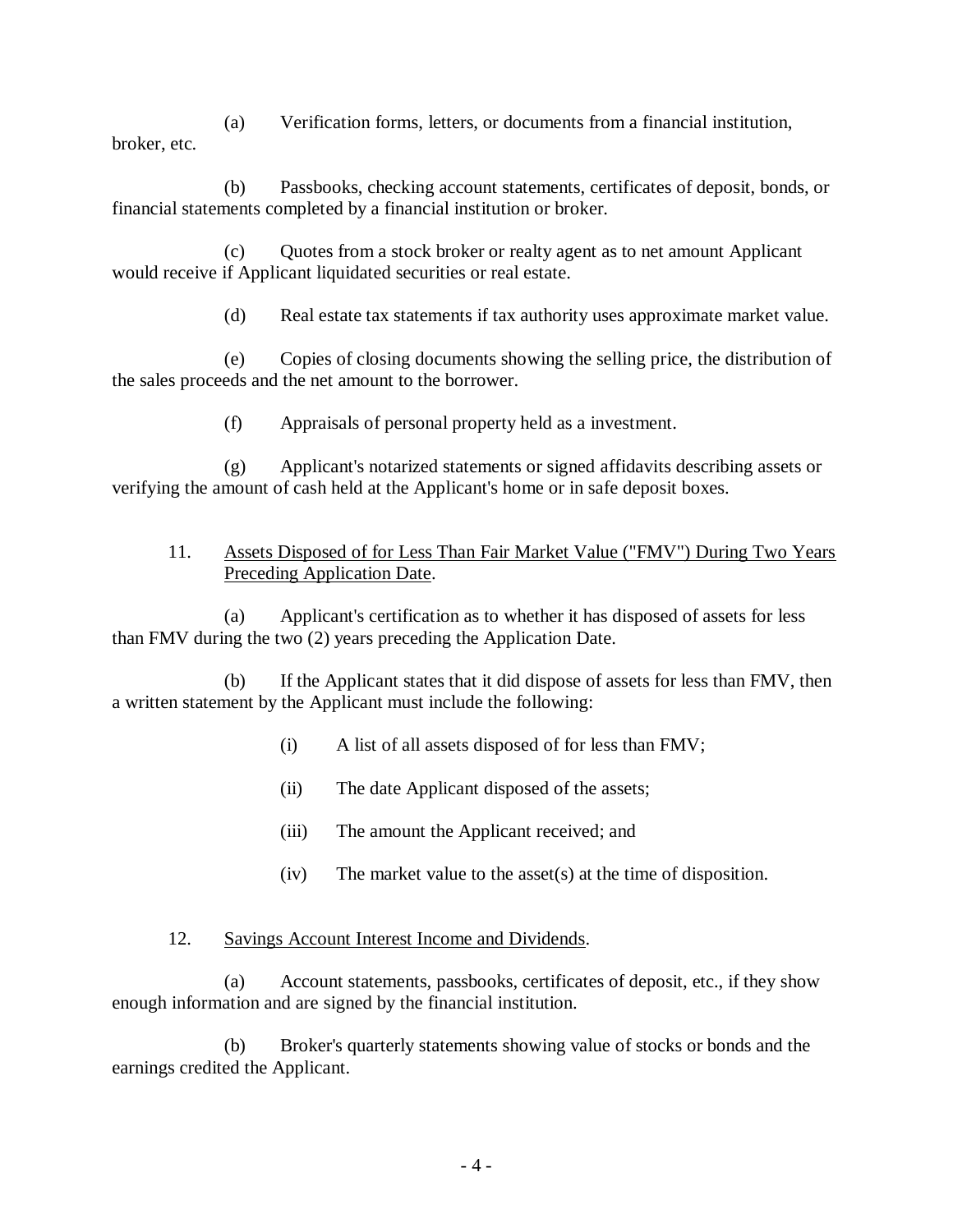(a) Verification forms, letters, or documents from a financial institution, broker, etc.

(b) Passbooks, checking account statements, certificates of deposit, bonds, or financial statements completed by a financial institution or broker.

(c) Quotes from a stock broker or realty agent as to net amount Applicant would receive if Applicant liquidated securities or real estate.

(d) Real estate tax statements if tax authority uses approximate market value.

(e) Copies of closing documents showing the selling price, the distribution of the sales proceeds and the net amount to the borrower.

(f) Appraisals of personal property held as a investment.

(g) Applicant's notarized statements or signed affidavits describing assets or verifying the amount of cash held at the Applicant's home or in safe deposit boxes.

#### 11. Assets Disposed of for Less Than Fair Market Value ("FMV") During Two Years Preceding Application Date.

(a) Applicant's certification as to whether it has disposed of assets for less than FMV during the two (2) years preceding the Application Date.

(b) If the Applicant states that it did dispose of assets for less than FMV, then a written statement by the Applicant must include the following:

- (i) A list of all assets disposed of for less than FMV;
- (ii) The date Applicant disposed of the assets;
- (iii) The amount the Applicant received; and
- (iv) The market value to the asset(s) at the time of disposition.

#### 12. Savings Account Interest Income and Dividends.

(a) Account statements, passbooks, certificates of deposit, etc., if they show enough information and are signed by the financial institution.

(b) Broker's quarterly statements showing value of stocks or bonds and the earnings credited the Applicant.